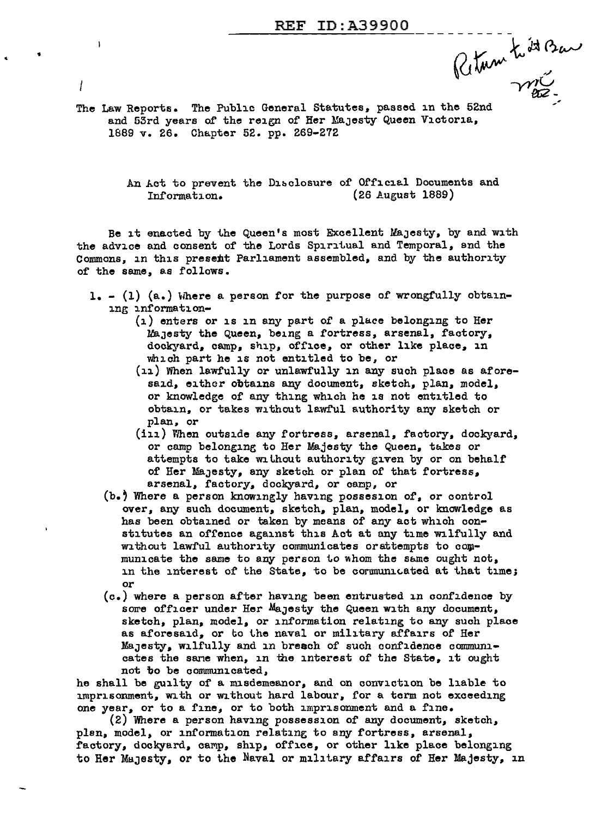•

The Law Reports. The Public General Statutes, passed in the 52nd  $\gamma v_{\text{BZ}}^{\gamma}$ .

and 53rd years of the reign of Her Majesty Queen Victoria, 1889 v. 26. Chapter 52. pp. 269-272

> An Act to prevent the Disclosure of Official Documents and Information. (26 August 1889)

Be it enacted by the Queen's most Excellent Majesty, by and with the advice and consent of the Lords Spiritual and Temporal, and the Commons, in this present Parliament assembled, and by the authority of the same, as follows.

- $1. (1)$  (a.) Where a person for the purpose of wrongfully obtaining information-
	- (i) enters or is in any part of a place belonging to Her llaJesty the Queen, being a fortress, arsenal, factory, dockyard, camp, ship, office, or other like place, in which part he is not entitled to be, or
	- (ii) When lawfully or unlawfully in any such place as aforesaid, either obtains any document, sketch, plan, model, or knowledge of any thing which he is not entitled to obtain, or takes without lawful authority any sketch or plan, or
	- (iii) When outside any fortress, arsenal, factory, dockyard, or camp belonging to Her Majesty the Queen, takes or attempts to take without authority given by or on behalf of Her Ma.Jesty, any sketch or plan of that fortress. arsenal, factory, dockyard, or camp, or
	- (b.) Where a person knowingly having possesion of, or control over, any such document, sketch, plan, model, or knowledge as has been obtained or taken by means of any act which constitutes an offence against this Act at any time wilfully and without lawful authority communicates orattempts to communicate the same to any person to whom the same ought not, in the interest of the State, to be cormunicated at that time; or
	- $(c<sub>o</sub>)$  where a person after having been entrusted in confidence by sore officer under Her Majesty the Queen with any document, sketch, plan, model, or information relating to any such place as aforesaid, or to the naval or military affairs of Her .Ma.Jesty, wilfully and in breech of such confidence communicates the sane when, in the interest of the State, it ought not bo be communicated,

ho shall be guilty of a misdemeanor, and on conviction be liable to imprisonment, with or without hard labour, for a term not exceeding one year. or to a fine, or to both imprisomnent and a fine.

(2) Where a person having possession of any document, sketch. plan, model, or information relating to any fortress, arsenal, factory, dockyard, camp, ship, office, or other like place belonging to Her Majesty, or to the Naval or military affairs of Her Majesty, in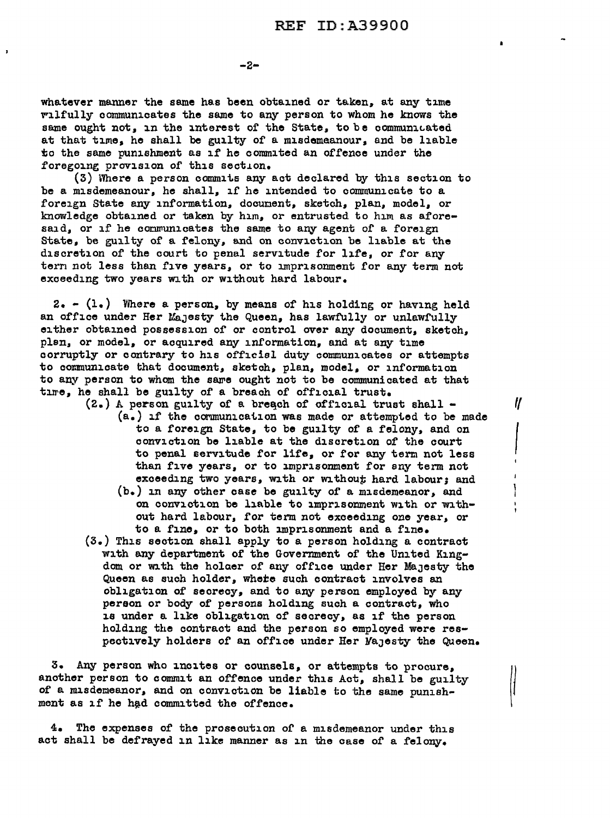whatever manner the same has been obtained or taken, at any time rilfully communicates the same to any person to whom he knows the same ought not, in the interest of the State, to be communicated at that time, he shall be guilty of a misdemeanour, and be liable to the same punishment as if he commited an offence under the foregoing provision of this section.

 $(3)$  Where a person commits any act declared by this section to be a misdemeanour, he shall, if he intended to communicate to a foreign State any information, document, sketch, plan, model, or knowledge obtained or taken by him, or entrusted to him as aforesaid, or if he communicates the same to any agent of a foreign State, be guilty of a felony, and on conviction be liable at the discretion of the court to penal servitude for life, or for any tern not less than five years, or to imprisonment for any term not exceeding two years with or without hard labour.

 $2. - (1.)$  Where a person, by means of his holding or having held an office under Her Majesty the Queen, has lawfully or unlawfully either obtained possession of or control over any document, sketch, plen, or model, or acquired any information, and at any time corruptly or contrary to his official duty communicates or attempts to communicate that document, sketch, plan, model, or information to any person to whom the same ought not to be communicated at that tire, he shall be guilty of a breach of official trust.

- $(2.)$  A person guilty of a breach of official trust shall  $\|f\|$ (a.) if the corununication was made or attempted to be made to a foreign State, to be guilty of a felony, and on *I*  conviction be liable at the discretion of the court <sup>1</sup>to penal servitude for life, or for any term not less than five years, or to imprisonment for any term not exceeding two years, with or without hard labour; and
	- (b.) in any other case be guilty of a misdemeanor, and on conviction be liable to imprisonment with or without hard labour, for term not exceeding one year, or to a fine, or to both imprisonment and a fine.
- (3.) This section shall apply to a person holding a contract with any department of the Government of the United Kingdom. or with the holaer of any office under Her MaJesty the Queen as such holder, whete such contract involves an obligation of secrecy, and to any person employed by any pereon or body of persons holding such a contract, who is under a like obligation of secrecy, as if the person holding the contract and the person so employed were respectively holders of an office under Her UaJesty the Queen.

3. Any person who incites or counsels, or attempts to procure, *I*  another person to commit an offence under this Act, shall be guilty of a misdemeanor, and on conviction be liable to the same punishment as if he had committed the offence.

4. The expenses of the prosecution of a misdemeanor under this act shall be defrayed in like manner as in the case of a felony.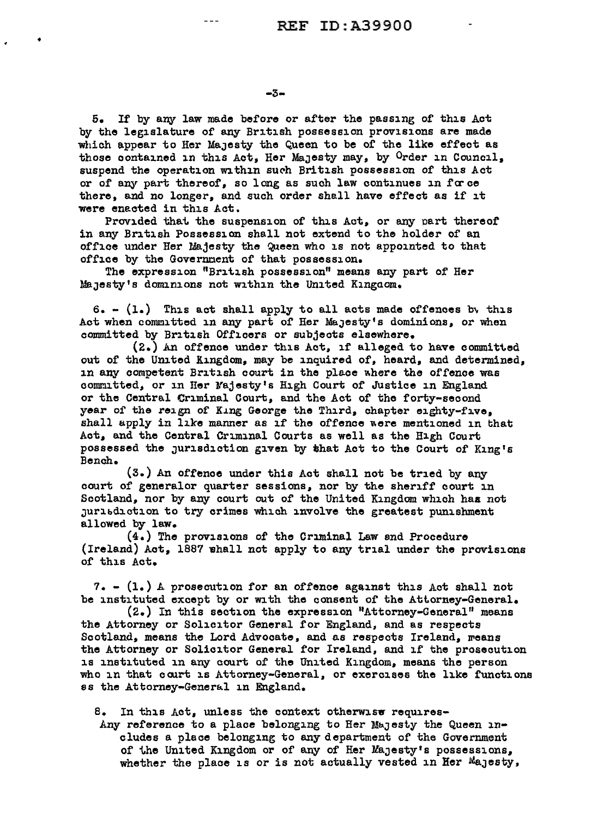5. If by any law made before or after the passing of this Act by the legislature of any British possession provisions are made which appear to Her Majesty the Queen to be of the like effect as those contained in this Act, Her Majesty may, by <sup>O</sup>rder in Council, suspend the operation within such British possession of this Act or of any part thereof, so long as such law continues in force there, and no longer, and such order shall have effect as if it were enacted in this Act.

Provided that the suspension of this Act, or any part thereof in any British Possession shall not extend to the holder of an office under Her Majesty the Queen who is not appointed to that office by the Governnent of that possession.

The expression "British possession" means any part of Her MaJesty's dominions not within the United Kingaom.

 $6. - (1.)$  This act shall apply to all acts made offences by this Act when committed in any part of Her MaJesty's dominions, or when committed by British Officers or subjects elsewhere.

 $(2.)$  An offence under this Act, if alleged to have committed out of the United Kingdom, may be inquired of, heard, and determined, in any competent British court in the place where the offence was committed, or in Her Najesty's High Court of Justice in England or the Central Criminal Court, and the Act of tho forty-second year of the reign of King George the Third, chapter eighty-five, shall apply in like manner as if the offence were mentioned in that Act, and the Central Criminal Courts as well as the High Court possessed the Jurisdiction given by that Act to the Court of King's Bench.

(3.) An offence under this Act shall not be tried by any court of generalor quarter sessions, nor by the sheriff court in Scotland, nor by any court out of the United Kingdom which haa not JUribdiction to try crimes which involve the greatest punishment allowed by law.

(4.) The provisions of the Criminal Law end Procedure (Ireland) Act, 1887 whall not apply to any trial under the provisions of this Act.

7.  $-$  (1.) A prosecution for an offence against this Act shall not be instituted except by or with the consent of the Attorney-General.

(2.) In this section the expression "Attorney-General" means the Attorney or Solicitor General for England, and as respects Scotland, means the Lord Advocate, and as respects Ireland, weans the Attorney or Solicitor General for Ireland, and if the prosecution is instituted in any aourt of the United Kingdom, means the person who in that court is Attorney-General, or exercises the like functions es the Attorney-General in England.

a. In this Act, unless the context otherwisw requires-Any reference to a place belonging to Her M&Jesty the Queen includes a place belonging to any department of the Government of the United Kingdom or of any of Her Majesty's possessions, whether the place is or is not actually vested in Her Majesty,